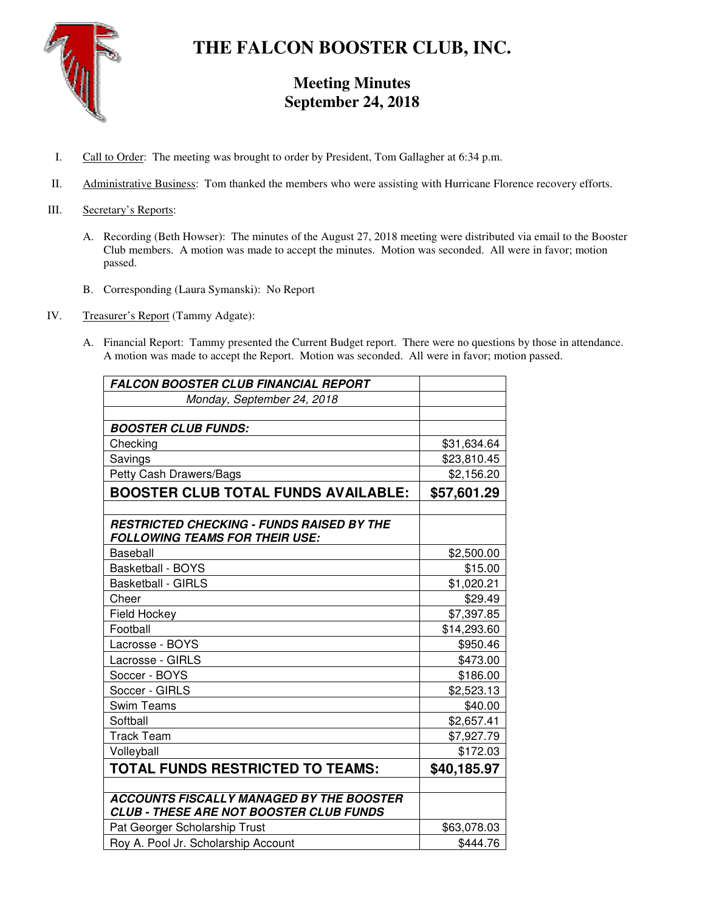

# **THE FALCON BOOSTER CLUB, INC.**

# **Meeting Minutes September 24, 2018**

- I. Call to Order: The meeting was brought to order by President, Tom Gallagher at 6:34 p.m.
- II. Administrative Business: Tom thanked the members who were assisting with Hurricane Florence recovery efforts.
- III. Secretary's Reports:
	- A. Recording (Beth Howser): The minutes of the August 27, 2018 meeting were distributed via email to the Booster Club members. A motion was made to accept the minutes. Motion was seconded. All were in favor; motion passed.
	- B. Corresponding (Laura Symanski): No Report
- IV. Treasurer's Report (Tammy Adgate):
	- A. Financial Report: Tammy presented the Current Budget report. There were no questions by those in attendance. A motion was made to accept the Report. Motion was seconded. All were in favor; motion passed.

| <b>FALCON BOOSTER CLUB FINANCIAL REPORT</b>                                                       |             |
|---------------------------------------------------------------------------------------------------|-------------|
| Monday, September 24, 2018                                                                        |             |
|                                                                                                   |             |
| <b>BOOSTER CLUB FUNDS:</b>                                                                        |             |
| Checking                                                                                          | \$31,634.64 |
| Savings                                                                                           | \$23,810.45 |
| Petty Cash Drawers/Bags                                                                           | \$2,156.20  |
| <b>BOOSTER CLUB TOTAL FUNDS AVAILABLE:</b>                                                        | \$57,601.29 |
|                                                                                                   |             |
| <b>RESTRICTED CHECKING - FUNDS RAISED BY THE</b><br><b>FOLLOWING TEAMS FOR THEIR USE:</b>         |             |
| <b>Baseball</b>                                                                                   | \$2,500.00  |
| <b>Basketball - BOYS</b>                                                                          | \$15.00     |
| <b>Basketball - GIRLS</b>                                                                         | \$1,020.21  |
| Cheer                                                                                             | \$29.49     |
| Field Hockey                                                                                      | \$7,397.85  |
| Football                                                                                          | \$14,293.60 |
| Lacrosse - BOYS                                                                                   | \$950.46    |
| Lacrosse - GIRLS                                                                                  | \$473.00    |
| Soccer - BOYS                                                                                     | \$186.00    |
| Soccer - GIRLS                                                                                    | \$2,523.13  |
| <b>Swim Teams</b>                                                                                 | \$40.00     |
| Softball                                                                                          | \$2,657.41  |
| <b>Track Team</b>                                                                                 | \$7,927.79  |
| Volleyball                                                                                        | \$172.03    |
| TOTAL FUNDS RESTRICTED TO TEAMS:                                                                  | \$40,185.97 |
|                                                                                                   |             |
| <b>ACCOUNTS FISCALLY MANAGED BY THE BOOSTER</b><br><b>CLUB - THESE ARE NOT BOOSTER CLUB FUNDS</b> |             |
| Pat Georger Scholarship Trust                                                                     | \$63,078.03 |
| Roy A. Pool Jr. Scholarship Account                                                               | \$444.76    |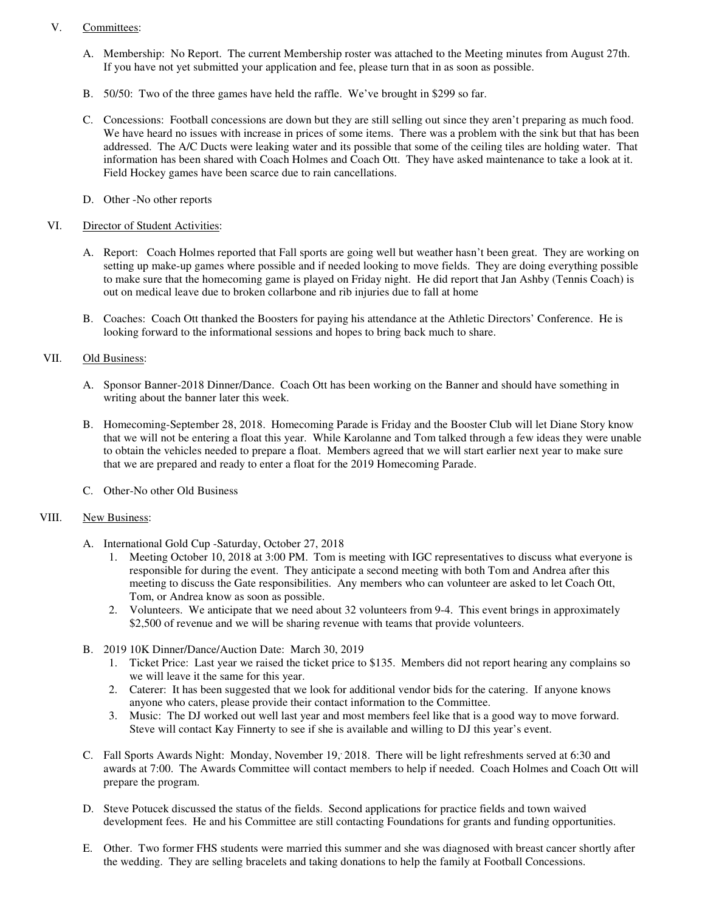## V. Committees:

- A. Membership: No Report. The current Membership roster was attached to the Meeting minutes from August 27th. If you have not yet submitted your application and fee, please turn that in as soon as possible.
- B. 50/50: Two of the three games have held the raffle. We've brought in \$299 so far.
- C. Concessions: Football concessions are down but they are still selling out since they aren't preparing as much food. We have heard no issues with increase in prices of some items. There was a problem with the sink but that has been addressed. The A/C Ducts were leaking water and its possible that some of the ceiling tiles are holding water. That information has been shared with Coach Holmes and Coach Ott. They have asked maintenance to take a look at it. Field Hockey games have been scarce due to rain cancellations.
- D. Other -No other reports

#### VI. Director of Student Activities:

- A. Report: Coach Holmes reported that Fall sports are going well but weather hasn't been great. They are working on setting up make-up games where possible and if needed looking to move fields. They are doing everything possible to make sure that the homecoming game is played on Friday night. He did report that Jan Ashby (Tennis Coach) is out on medical leave due to broken collarbone and rib injuries due to fall at home
- B. Coaches: Coach Ott thanked the Boosters for paying his attendance at the Athletic Directors' Conference. He is looking forward to the informational sessions and hopes to bring back much to share.

### VII. Old Business:

- A. Sponsor Banner-2018 Dinner/Dance. Coach Ott has been working on the Banner and should have something in writing about the banner later this week.
- B. Homecoming-September 28, 2018. Homecoming Parade is Friday and the Booster Club will let Diane Story know that we will not be entering a float this year. While Karolanne and Tom talked through a few ideas they were unable to obtain the vehicles needed to prepare a float. Members agreed that we will start earlier next year to make sure that we are prepared and ready to enter a float for the 2019 Homecoming Parade.
- C. Other-No other Old Business

#### VIII. New Business:

- A. International Gold Cup -Saturday, October 27, 2018
	- 1. Meeting October 10, 2018 at 3:00 PM. Tom is meeting with IGC representatives to discuss what everyone is responsible for during the event. They anticipate a second meeting with both Tom and Andrea after this meeting to discuss the Gate responsibilities. Any members who can volunteer are asked to let Coach Ott, Tom, or Andrea know as soon as possible.
	- 2. Volunteers. We anticipate that we need about 32 volunteers from 9-4. This event brings in approximately \$2,500 of revenue and we will be sharing revenue with teams that provide volunteers.
- B. 2019 10K Dinner/Dance/Auction Date: March 30, 2019
	- 1. Ticket Price: Last year we raised the ticket price to \$135. Members did not report hearing any complains so we will leave it the same for this year.
	- 2. Caterer: It has been suggested that we look for additional vendor bids for the catering. If anyone knows anyone who caters, please provide their contact information to the Committee.
	- 3. Music: The DJ worked out well last year and most members feel like that is a good way to move forward. Steve will contact Kay Finnerty to see if she is available and willing to DJ this year's event.
- C. Fall Sports Awards Night: Monday, November 19, 2018. There will be light refreshments served at 6:30 and awards at 7:00. The Awards Committee will contact members to help if needed. Coach Holmes and Coach Ott will prepare the program.
- D. Steve Potucek discussed the status of the fields. Second applications for practice fields and town waived development fees. He and his Committee are still contacting Foundations for grants and funding opportunities.
- E. Other. Two former FHS students were married this summer and she was diagnosed with breast cancer shortly after the wedding. They are selling bracelets and taking donations to help the family at Football Concessions.